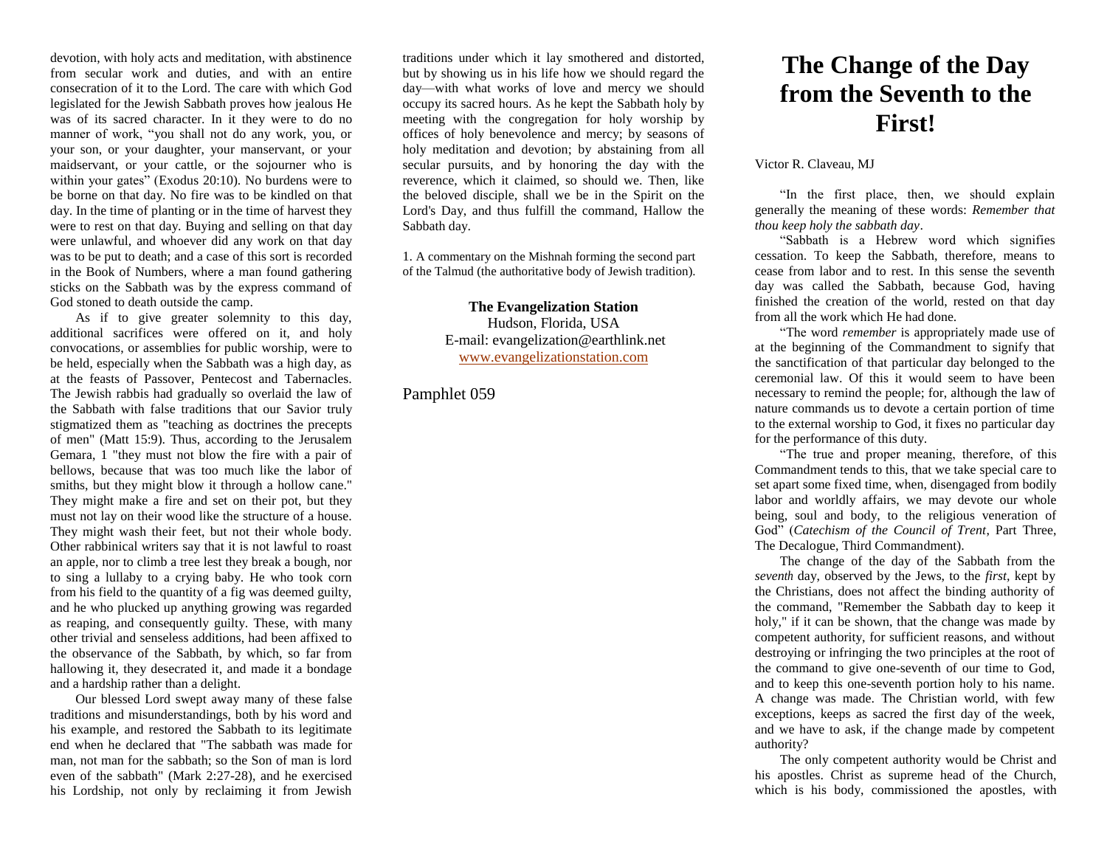devotion, with holy acts and meditation, with abstinence from secular work and duties, and with an entire consecration of it to the Lord. The care with which God legislated for the Jewish Sabbath proves how jealous He was of its sacred character. In it they were to do no manner of work, "you shall not do any work, you, or your son, or your daughter, your manservant, or your maidservant, or your cattle, or the sojourner who is within your gates" (Exodus 20:10). No burdens were to be borne on that day. No fire was to be kindled on that day. In the time of planting or in the time of harvest they were to rest on that day. Buying and selling on that day were unlawful, and whoever did any work on that day was to be put to death; and a case of this sort is recorded in the Book of Numbers, where a man found gathering sticks on the Sabbath was by the express command of God stoned to death outside the camp.

As if to give greater solemnity to this day, additional sacrifices were offered on it, and holy convocations, or assemblies for public worship, were to be held, especially when the Sabbath was a high day, as at the feasts of Passover, Pentecost and Tabernacles. The Jewish rabbis had gradually so overlaid the law of the Sabbath with false traditions that our Savior truly stigmatized them as "teaching as doctrines the precepts of men" (Matt 15:9). Thus, according to the Jerusalem Gemara, 1 "they must not blow the fire with a pair of bellows, because that was too much like the labor of smiths, but they might blow it through a hollow cane." They might make a fire and set on their pot, but they must not lay on their wood like the structure of a house. They might wash their feet, but not their whole body. Other rabbinical writers say that it is not lawful to roast an apple, nor to climb a tree lest they break a bough, nor to sing a lullaby to a crying baby. He who took corn from his field to the quantity of a fig was deemed guilty, and he who plucked up anything growing was regarded as reaping, and consequently guilty. These, with many other trivial and senseless additions, had been affixed to the observance of the Sabbath, by which, so far from hallowing it, they desecrated it, and made it a bondage and a hardship rather than a delight.

Our blessed Lord swept away many of these false traditions and misunderstandings, both by his word and his example, and restored the Sabbath to its legitimate end when he declared that "The sabbath was made for man, not man for the sabbath; so the Son of man is lord even of the sabbath" (Mark 2:27-28), and he exercised his Lordship, not only by reclaiming it from Jewish

traditions under which it lay smothered and distorted, but by showing us in his life how we should regard the day—with what works of love and mercy we should occupy its sacred hours. As he kept the Sabbath holy by meeting with the congregation for holy worship by offices of holy benevolence and mercy; by seasons of holy meditation and devotion; by abstaining from all secular pursuits, and by honoring the day with the reverence, which it claimed, so should we. Then, like the beloved disciple, shall we be in the Spirit on the Lord's Day, and thus fulfill the command, Hallow the Sabbath day.

1. A commentary on the Mishnah forming the second part of the Talmud (the authoritative body of Jewish tradition).

> **The Evangelization Station** Hudson, Florida, USA E-mail: evangelization@earthlink.net [www.evangelizationstation.com](http://www.pjpiisoe.org/)

Pamphlet 059

## **The Change of the Day from the Seventh to the First!**

Victor R. Claveau, MJ

"In the first place, then, we should explain generally the meaning of these words: *Remember that thou keep holy the sabbath day*.

"Sabbath is a Hebrew word which signifies cessation. To keep the Sabbath, therefore, means to cease from labor and to rest. In this sense the seventh day was called the Sabbath, because God, having finished the creation of the world, rested on that day from all the work which He had done.

"The word *remember* is appropriately made use of at the beginning of the Commandment to signify that the sanctification of that particular day belonged to the ceremonial law. Of this it would seem to have been necessary to remind the people; for, although the law of nature commands us to devote a certain portion of time to the external worship to God, it fixes no particular day for the performance of this duty.

"The true and proper meaning, therefore, of this Commandment tends to this, that we take special care to set apart some fixed time, when, disengaged from bodily labor and worldly affairs, we may devote our whole being, soul and body, to the religious veneration of God" (*Catechism of the Council of Trent*, Part Three, The Decalogue, Third Commandment).

The change of the day of the Sabbath from the *seventh* day, observed by the Jews, to the *first,* kept by the Christians, does not affect the binding authority of the command, "Remember the Sabbath day to keep it holy," if it can be shown, that the change was made by competent authority, for sufficient reasons, and without destroying or infringing the two principles at the root of the command to give one-seventh of our time to God, and to keep this one-seventh portion holy to his name. A change was made. The Christian world, with few exceptions, keeps as sacred the first day of the week, and we have to ask, if the change made by competent authority?

The only competent authority would be Christ and his apostles. Christ as supreme head of the Church, which is his body, commissioned the apostles, with